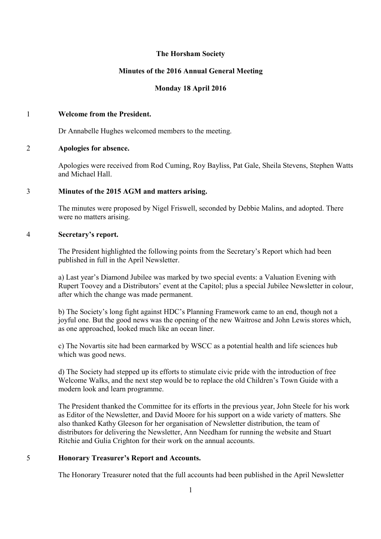# **The Horsham Society**

# **Minutes of the 2016 Annual General Meeting**

# **Monday 18 April 2016**

#### 1 **Welcome from the President.**

Dr Annabelle Hughes welcomed members to the meeting.

### 2 **Apologies for absence.**

Apologies were received from Rod Cuming, Roy Bayliss, Pat Gale, Sheila Stevens, Stephen Watts and Michael Hall.

# 3 **Minutes of the 2015 AGM and matters arising.**

The minutes were proposed by Nigel Friswell, seconded by Debbie Malins, and adopted. There were no matters arising.

### 4 **Secretary's report.**

The President highlighted the following points from the Secretary's Report which had been published in full in the April Newsletter.

a) Last year's Diamond Jubilee was marked by two special events: a Valuation Evening with Rupert Toovey and a Distributors' event at the Capitol; plus a special Jubilee Newsletter in colour, after which the change was made permanent.

b) The Society's long fight against HDC's Planning Framework came to an end, though not a joyful one. But the good news was the opening of the new Waitrose and John Lewis stores which, as one approached, looked much like an ocean liner.

c) The Novartis site had been earmarked by WSCC as a potential health and life sciences hub which was good news.

d) The Society had stepped up its efforts to stimulate civic pride with the introduction of free Welcome Walks, and the next step would be to replace the old Children's Town Guide with a modern look and learn programme.

The President thanked the Committee for its efforts in the previous year, John Steele for his work as Editor of the Newsletter, and David Moore for his support on a wide variety of matters. She also thanked Kathy Gleeson for her organisation of Newsletter distribution, the team of distributors for delivering the Newsletter, Ann Needham for running the website and Stuart Ritchie and Gulia Crighton for their work on the annual accounts.

# 5 **Honorary Treasurer's Report and Accounts.**

The Honorary Treasurer noted that the full accounts had been published in the April Newsletter